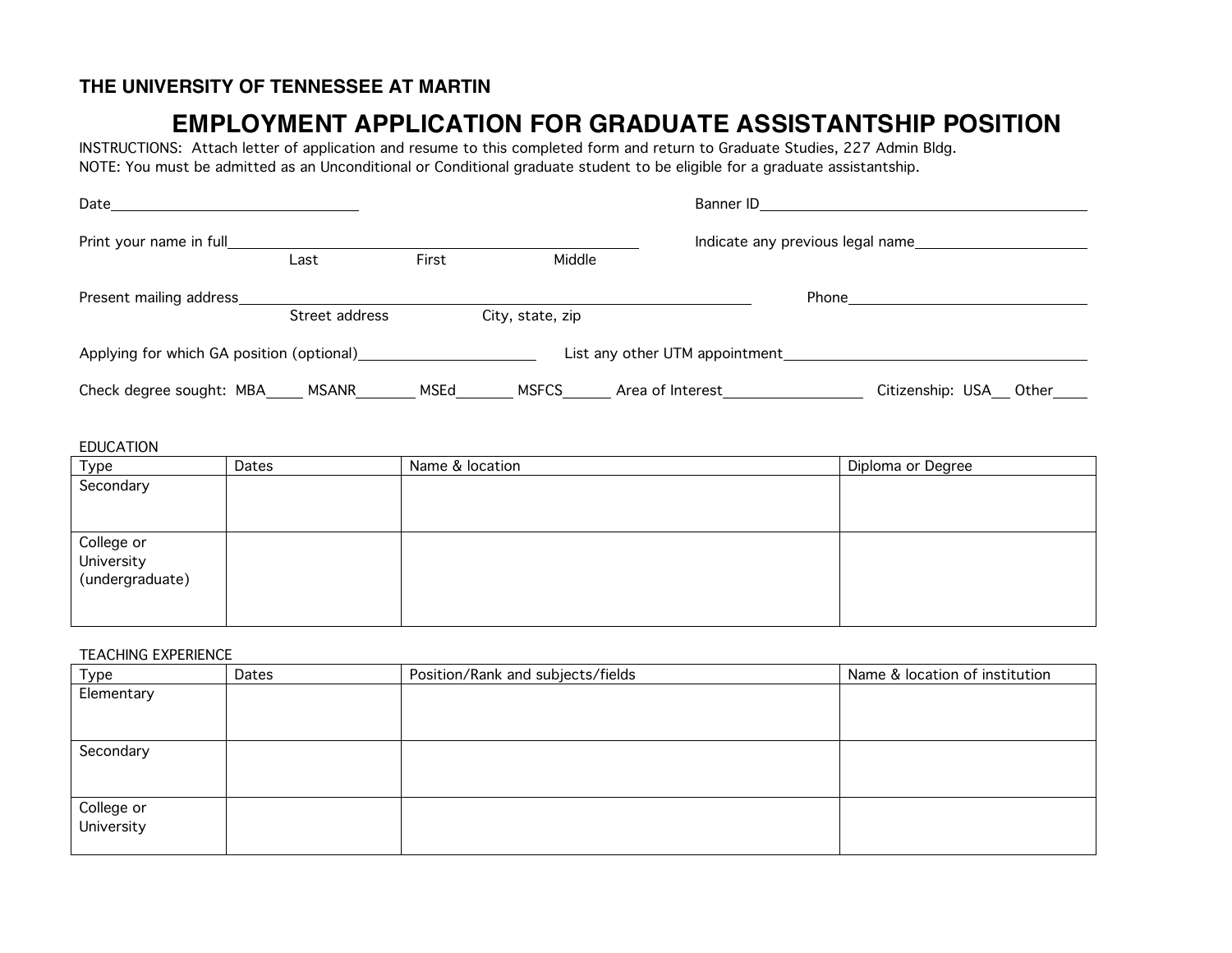# **THE UNIVERSITY OF TENNESSEE AT MARTIN**

# **EMPLOYMENT APPLICATION FOR GRADUATE ASSISTANTSHIP POSITION**

INSTRUCTIONS: Attach letter of application and resume to this completed form and return to Graduate Studies, 227 Admin Bldg. NOTE: You must be admitted as an Unconditional or Conditional graduate student to be eligible for a graduate assistantship.

| Date                                      |                |       | Banner ID                        |                                |                         |  |
|-------------------------------------------|----------------|-------|----------------------------------|--------------------------------|-------------------------|--|
| Print your name in full                   |                |       | Indicate any previous legal name |                                |                         |  |
|                                           | Last           | First | Middle                           |                                |                         |  |
| Present mailing address                   |                |       |                                  |                                | Phone                   |  |
|                                           | Street address |       | City, state, zip                 |                                |                         |  |
| Applying for which GA position (optional) |                |       |                                  | List any other UTM appointment |                         |  |
| Check degree sought: MBA_                 | MSANR          | MSEd  | <b>MSFCS</b>                     | Area of Interest               | Citizenship: USA_ Other |  |

#### EDUCATION

| <b>Type</b>     | Dates | Name & location | Diploma or Degree |
|-----------------|-------|-----------------|-------------------|
| Secondary       |       |                 |                   |
|                 |       |                 |                   |
|                 |       |                 |                   |
| College or      |       |                 |                   |
| University      |       |                 |                   |
| (undergraduate) |       |                 |                   |
|                 |       |                 |                   |
|                 |       |                 |                   |

#### TEACHING EXPERIENCE

| Type                     | Dates | Position/Rank and subjects/fields | Name & location of institution |
|--------------------------|-------|-----------------------------------|--------------------------------|
| Elementary               |       |                                   |                                |
| Secondary                |       |                                   |                                |
| College or<br>University |       |                                   |                                |